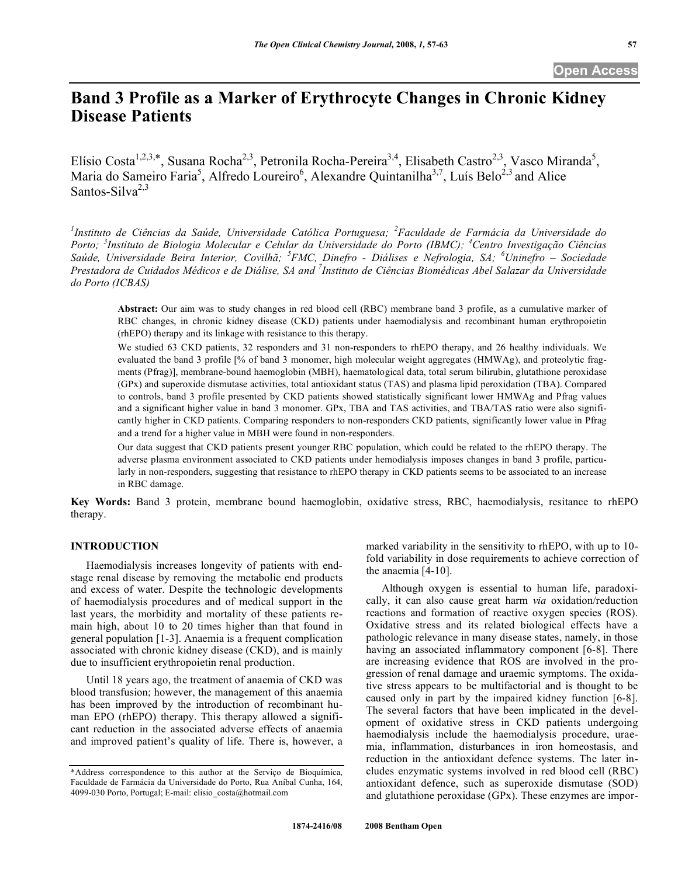# **Band 3 Profile as a Marker of Erythrocyte Changes in Chronic Kidney Disease Patients**

Elísio Costa<sup>1,2,3,\*</sup>, Susana Rocha<sup>2,3</sup>, Petronila Rocha-Pereira<sup>3,4</sup>, Elisabeth Castro<sup>2,3</sup>, Vasco Miranda<sup>5</sup>, Maria do Sameiro Faria<sup>5</sup>, Alfredo Loureiro<sup>6</sup>, Alexandre Quintanilha<sup>3,7</sup>, Luís Belo<sup>2,3</sup> and Alice Santos-Silva $2,3$ 

<sup>1</sup>Instituto de Ciências da Saúde, Universidade Católica Portuguesa; <sup>2</sup> Faculdade de Farmácia da Universidade do *Porto; <sup>3</sup> Instituto de Biologia Molecular e Celular da Universidade do Porto (IBMC); <sup>4</sup> Centro Investigação Ciências Saúde, Universidade Beira Interior, Covilhã; <sup>5</sup> FMC, Dinefro - Diálises e Nefrologia, SA; <sup>6</sup> Uninefro – Sociedade*  Prestadora de Cuidados Médicos e de Diálise, SA and <sup>7</sup>Instituto de Ciências Biomédicas Abel Salazar da Universidade *do Porto (ICBAS)* 

**Abstract:** Our aim was to study changes in red blood cell (RBC) membrane band 3 profile, as a cumulative marker of RBC changes, in chronic kidney disease (CKD) patients under haemodialysis and recombinant human erythropoietin (rhEPO) therapy and its linkage with resistance to this therapy.

We studied 63 CKD patients, 32 responders and 31 non-responders to rhEPO therapy, and 26 healthy individuals. We evaluated the band 3 profile [% of band 3 monomer, high molecular weight aggregates (HMWAg), and proteolytic fragments (Pfrag)], membrane-bound haemoglobin (MBH), haematological data, total serum bilirubin, glutathione peroxidase (GPx) and superoxide dismutase activities, total antioxidant status (TAS) and plasma lipid peroxidation (TBA). Compared to controls, band 3 profile presented by CKD patients showed statistically significant lower HMWAg and Pfrag values and a significant higher value in band 3 monomer. GPx, TBA and TAS activities, and TBA/TAS ratio were also significantly higher in CKD patients. Comparing responders to non-responders CKD patients, significantly lower value in Pfrag and a trend for a higher value in MBH were found in non-responders.

Our data suggest that CKD patients present younger RBC population, which could be related to the rhEPO therapy. The adverse plasma environment associated to CKD patients under hemodialysis imposes changes in band 3 profile, particularly in non-responders, suggesting that resistance to rhEPO therapy in CKD patients seems to be associated to an increase in RBC damage.

**Key Words:** Band 3 protein, membrane bound haemoglobin, oxidative stress, RBC, haemodialysis, resitance to rhEPO therapy.

# **INTRODUCTION**

 Haemodialysis increases longevity of patients with endstage renal disease by removing the metabolic end products and excess of water. Despite the technologic developments of haemodialysis procedures and of medical support in the last years, the morbidity and mortality of these patients remain high, about 10 to 20 times higher than that found in general population [1-3]. Anaemia is a frequent complication associated with chronic kidney disease (CKD), and is mainly due to insufficient erythropoietin renal production.

 Until 18 years ago, the treatment of anaemia of CKD was blood transfusion; however, the management of this anaemia has been improved by the introduction of recombinant human EPO (rhEPO) therapy. This therapy allowed a significant reduction in the associated adverse effects of anaemia and improved patient's quality of life. There is, however, a marked variability in the sensitivity to rhEPO, with up to 10 fold variability in dose requirements to achieve correction of the anaemia [4-10].

 Although oxygen is essential to human life, paradoxically, it can also cause great harm *via* oxidation/reduction reactions and formation of reactive oxygen species (ROS). Oxidative stress and its related biological effects have a pathologic relevance in many disease states, namely, in those having an associated inflammatory component [6-8]. There are increasing evidence that ROS are involved in the progression of renal damage and uraemic symptoms. The oxidative stress appears to be multifactorial and is thought to be caused only in part by the impaired kidney function [6-8]. The several factors that have been implicated in the development of oxidative stress in CKD patients undergoing haemodialysis include the haemodialysis procedure, uraemia, inflammation, disturbances in iron homeostasis, and reduction in the antioxidant defence systems. The later includes enzymatic systems involved in red blood cell (RBC) antioxidant defence, such as superoxide dismutase (SOD) and glutathione peroxidase (GPx). These enzymes are impor-

<sup>\*</sup>Address correspondence to this author at the Serviço de Bioquímica, Faculdade de Farmácia da Universidade do Porto, Rua Aníbal Cunha, 164, 4099-030 Porto, Portugal; E-mail: elisio\_costa@hotmail.com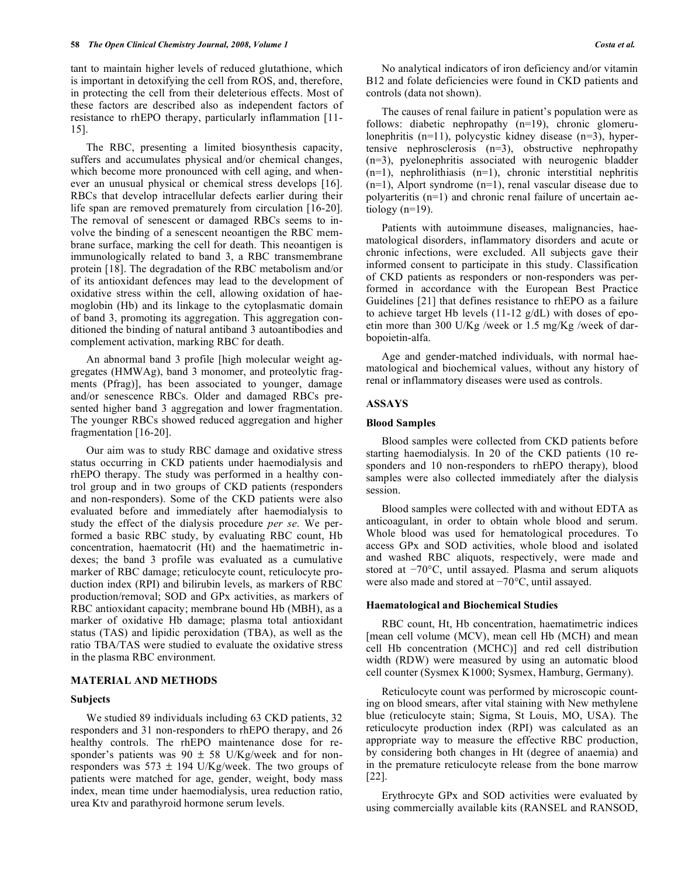tant to maintain higher levels of reduced glutathione, which is important in detoxifying the cell from ROS, and, therefore, in protecting the cell from their deleterious effects. Most of these factors are described also as independent factors of resistance to rhEPO therapy, particularly inflammation [11- 15].

 The RBC, presenting a limited biosynthesis capacity, suffers and accumulates physical and/or chemical changes, which become more pronounced with cell aging, and whenever an unusual physical or chemical stress develops [16]. RBCs that develop intracellular defects earlier during their life span are removed prematurely from circulation [16-20]. The removal of senescent or damaged RBCs seems to involve the binding of a senescent neoantigen the RBC membrane surface, marking the cell for death. This neoantigen is immunologically related to band 3, a RBC transmembrane protein [18]. The degradation of the RBC metabolism and/or of its antioxidant defences may lead to the development of oxidative stress within the cell, allowing oxidation of haemoglobin (Hb) and its linkage to the cytoplasmatic domain of band 3, promoting its aggregation. This aggregation conditioned the binding of natural antiband 3 autoantibodies and complement activation, marking RBC for death.

 An abnormal band 3 profile [high molecular weight aggregates (HMWAg), band 3 monomer, and proteolytic fragments (Pfrag)], has been associated to younger, damage and/or senescence RBCs. Older and damaged RBCs presented higher band 3 aggregation and lower fragmentation. The younger RBCs showed reduced aggregation and higher fragmentation [16-20].

 Our aim was to study RBC damage and oxidative stress status occurring in CKD patients under haemodialysis and rhEPO therapy. The study was performed in a healthy control group and in two groups of CKD patients (responders and non-responders). Some of the CKD patients were also evaluated before and immediately after haemodialysis to study the effect of the dialysis procedure *per se*. We performed a basic RBC study, by evaluating RBC count, Hb concentration, haematocrit (Ht) and the haematimetric indexes; the band 3 profile was evaluated as a cumulative marker of RBC damage; reticulocyte count, reticulocyte production index (RPI) and bilirubin levels, as markers of RBC production/removal; SOD and GPx activities, as markers of RBC antioxidant capacity; membrane bound Hb (MBH), as a marker of oxidative Hb damage; plasma total antioxidant status (TAS) and lipidic peroxidation (TBA), as well as the ratio TBA/TAS were studied to evaluate the oxidative stress in the plasma RBC environment.

# **MATERIAL AND METHODS**

#### **Subjects**

 We studied 89 individuals including 63 CKD patients, 32 responders and 31 non-responders to rhEPO therapy, and 26 healthy controls. The rhEPO maintenance dose for responder's patients was  $90 \pm 58$  U/Kg/week and for nonresponders was  $573 \pm 194$  U/Kg/week. The two groups of patients were matched for age, gender, weight, body mass index, mean time under haemodialysis, urea reduction ratio, urea Ktv and parathyroid hormone serum levels.

 No analytical indicators of iron deficiency and/or vitamin B12 and folate deficiencies were found in CKD patients and controls (data not shown).

 The causes of renal failure in patient's population were as follows: diabetic nephropathy (n=19), chronic glomerulonephritis (n=11), polycystic kidney disease (n=3), hypertensive nephrosclerosis (n=3), obstructive nephropathy (n=3), pyelonephritis associated with neurogenic bladder  $(n=1)$ , nephrolithiasis  $(n=1)$ , chronic interstitial nephritis (n=1), Alport syndrome (n=1), renal vascular disease due to polyarteritis (n=1) and chronic renal failure of uncertain aetiology (n=19).

 Patients with autoimmune diseases, malignancies, haematological disorders, inflammatory disorders and acute or chronic infections, were excluded. All subjects gave their informed consent to participate in this study. Classification of CKD patients as responders or non-responders was performed in accordance with the European Best Practice Guidelines [21] that defines resistance to rhEPO as a failure to achieve target Hb levels (11-12 g/dL) with doses of epoetin more than 300 U/Kg /week or 1.5 mg/Kg /week of darbopoietin-alfa.

 Age and gender-matched individuals, with normal haematological and biochemical values, without any history of renal or inflammatory diseases were used as controls.

# **ASSAYS**

#### **Blood Samples**

 Blood samples were collected from CKD patients before starting haemodialysis. In 20 of the CKD patients (10 responders and 10 non-responders to rhEPO therapy), blood samples were also collected immediately after the dialysis session.

 Blood samples were collected with and without EDTA as anticoagulant, in order to obtain whole blood and serum. Whole blood was used for hematological procedures. To access GPx and SOD activities, whole blood and isolated and washed RBC aliquots, respectively, were made and stored at  $-70^{\circ}$ C, until assayed. Plasma and serum aliquots were also made and stored at  $-70^{\circ}$ C, until assayed.

#### **Haematological and Biochemical Studies**

 RBC count, Ht, Hb concentration, haematimetric indices [mean cell volume (MCV), mean cell Hb (MCH) and mean cell Hb concentration (MCHC)] and red cell distribution width (RDW) were measured by using an automatic blood cell counter (Sysmex K1000; Sysmex, Hamburg, Germany).

 Reticulocyte count was performed by microscopic counting on blood smears, after vital staining with New methylene blue (reticulocyte stain; Sigma, St Louis, MO, USA). The reticulocyte production index (RPI) was calculated as an appropriate way to measure the effective RBC production, by considering both changes in Ht (degree of anaemia) and in the premature reticulocyte release from the bone marrow [22].

 Erythrocyte GPx and SOD activities were evaluated by using commercially available kits (RANSEL and RANSOD,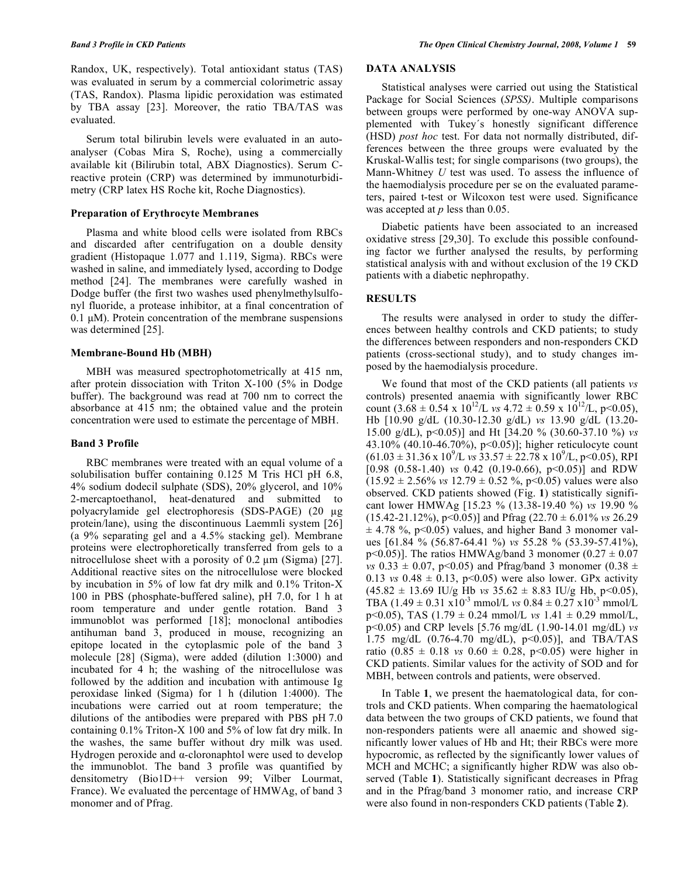Randox, UK, respectively). Total antioxidant status (TAS) was evaluated in serum by a commercial colorimetric assay (TAS, Randox). Plasma lipidic peroxidation was estimated by TBA assay [23]. Moreover, the ratio TBA/TAS was evaluated.

 Serum total bilirubin levels were evaluated in an autoanalyser (Cobas Mira S, Roche), using a commercially available kit (Bilirubin total, ABX Diagnostics). Serum Creactive protein (CRP) was determined by immunoturbidimetry (CRP latex HS Roche kit, Roche Diagnostics).

# **Preparation of Erythrocyte Membranes**

 Plasma and white blood cells were isolated from RBCs and discarded after centrifugation on a double density gradient (Histopaque 1.077 and 1.119, Sigma). RBCs were washed in saline, and immediately lysed, according to Dodge method [24]. The membranes were carefully washed in Dodge buffer (the first two washes used phenylmethylsulfonyl fluoride, a protease inhibitor, at a final concentration of 0.1 μM). Protein concentration of the membrane suspensions was determined [25].

#### **Membrane-Bound Hb (MBH)**

 MBH was measured spectrophotometrically at 415 nm, after protein dissociation with Triton X-100 (5% in Dodge buffer). The background was read at 700 nm to correct the absorbance at 415 nm; the obtained value and the protein concentration were used to estimate the percentage of MBH.

#### **Band 3 Profile**

 RBC membranes were treated with an equal volume of a solubilisation buffer containing 0.125 M Tris HCl pH 6.8, 4% sodium dodecil sulphate (SDS), 20% glycerol, and 10% 2-mercaptoethanol, heat-denatured and submitted to polyacrylamide gel electrophoresis (SDS-PAGE) (20 µg protein/lane), using the discontinuous Laemmli system [26] (a 9% separating gel and a 4.5% stacking gel). Membrane proteins were electrophoretically transferred from gels to a nitrocellulose sheet with a porosity of  $0.2 \mu m$  (Sigma) [27]. Additional reactive sites on the nitrocellulose were blocked by incubation in 5% of low fat dry milk and 0.1% Triton-X 100 in PBS (phosphate-buffered saline), pH 7.0, for 1 h at room temperature and under gentle rotation. Band 3 immunoblot was performed [18]; monoclonal antibodies antihuman band 3, produced in mouse, recognizing an epitope located in the cytoplasmic pole of the band 3 molecule [28] (Sigma), were added (dilution 1:3000) and incubated for 4 h; the washing of the nitrocellulose was followed by the addition and incubation with antimouse Ig peroxidase linked (Sigma) for 1 h (dilution 1:4000). The incubations were carried out at room temperature; the dilutions of the antibodies were prepared with PBS pH 7.0 containing 0.1% Triton-X 100 and 5% of low fat dry milk. In the washes, the same buffer without dry milk was used. Hydrogen peroxide and  $\alpha$ -cloronaphtol were used to develop the immunoblot. The band 3 profile was quantified by densitometry (Bio1D++ version 99; Vilber Lourmat, France). We evaluated the percentage of HMWAg, of band 3 monomer and of Pfrag.

# **DATA ANALYSIS**

 Statistical analyses were carried out using the Statistical Package for Social Sciences (*SPSS)*. Multiple comparisons between groups were performed by one-way ANOVA supplemented with Tukey´s honestly significant difference (HSD) *post hoc* test. For data not normally distributed, differences between the three groups were evaluated by the Kruskal-Wallis test; for single comparisons (two groups), the Mann-Whitney *U* test was used. To assess the influence of the haemodialysis procedure per se on the evaluated parameters, paired t-test or Wilcoxon test were used. Significance was accepted at *p* less than 0.05.

 Diabetic patients have been associated to an increased oxidative stress [29,30]. To exclude this possible confounding factor we further analysed the results, by performing statistical analysis with and without exclusion of the 19 CKD patients with a diabetic nephropathy.

# **RESULTS**

 The results were analysed in order to study the differences between healthy controls and CKD patients; to study the differences between responders and non-responders CKD patients (cross-sectional study), and to study changes imposed by the haemodialysis procedure.

 We found that most of the CKD patients (all patients *vs* controls) presented anaemia with significantly lower RBC count  $(3.68 \pm 0.54 \times 10^{12} / L \text{ vs } 4.72 \pm 0.59 \times 10^{12} / L, \text{ p} < 0.05)$ , Hb [10.90 g/dL (10.30-12.30 g/dL) *vs* 13.90 g/dL (13.20- 15.00 g/dL), p<0.05)] and Ht [34.20 % (30.60-37.10 %) *vs* 43.10% (40.10-46.70%), p<0.05)]; higher reticulocyte count  $(61.03 \pm 31.36 \times 10^9/\text{L} \text{ vs } 33.57 \pm 22.78 \times 10^9/\text{L}, p<0.05)$ , RPI [0.98  $(0.58-1.40)$  *vs* 0.42  $(0.19-0.66)$ ,  $p<0.05$ ] and RDW  $(15.92 \pm 2.56\% \text{ vs } 12.79 \pm 0.52\% \text{, } p<0.05) \text{ values were also}$ observed. CKD patients showed (Fig. **1**) statistically significant lower HMWAg [15.23 % (13.38-19.40 %) *vs* 19.90 %  $(15.42-21.12\%)$ ,  $p<0.05$ ] and Pfrag  $(22.70 \pm 6.01\%)$  *vs* 26.29  $\pm$  4.78 %, p<0.05) values, and higher Band 3 monomer values [61.84 % (56.87-64.41 %) *vs* 55.28 % (53.39-57.41%), p<0.05)]. The ratios HMWAg/band 3 monomer (0.27  $\pm$  0.07 *vs*  $0.33 \pm 0.07$ ,  $p < 0.05$ ) and Pfrag/band 3 monomer  $(0.38 \pm 0.07)$ 0.13 *vs*  $0.48 \pm 0.13$ ,  $p<0.05$ ) were also lower. GPx activity  $(45.82 \pm 13.69 \text{ IU/g} \text{ Hb} \text{ vs } 35.62 \pm 8.83 \text{ IU/g} \text{ Hb} \text{, } p<0.05),$ TBA  $(1.49 \pm 0.31 \text{ x}10^{-3} \text{ mmol/L}$  *vs*  $0.84 \pm 0.27 \text{ x}10^{-3} \text{ mmol/L}$ p<0.05), TAS (1.79 ± 0.24 mmol/L *vs* 1.41 ± 0.29 mmol/L, p<0.05) and CRP levels [5.76 mg/dL (1.90-14.01 mg/dL) *vs* 1.75 mg/dL (0.76-4.70 mg/dL), p<0.05)], and TBA/TAS ratio  $(0.85 \pm 0.18 \text{ vs } 0.60 \pm 0.28, \text{ p} < 0.05)$  were higher in CKD patients. Similar values for the activity of SOD and for MBH, between controls and patients, were observed.

 In Table **1**, we present the haematological data, for controls and CKD patients. When comparing the haematological data between the two groups of CKD patients, we found that non-responders patients were all anaemic and showed significantly lower values of Hb and Ht; their RBCs were more hypocromic, as reflected by the significantly lower values of MCH and MCHC; a significantly higher RDW was also observed (Table **1**). Statistically significant decreases in Pfrag and in the Pfrag/band 3 monomer ratio, and increase CRP were also found in non-responders CKD patients (Table **2**).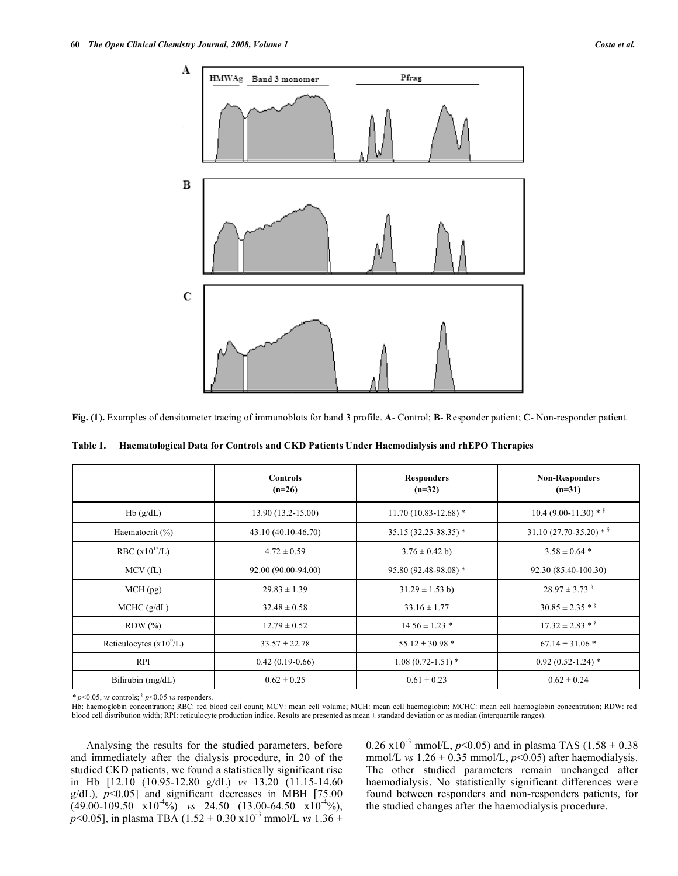

**Fig. (1).** Examples of densitometer tracing of immunoblots for band 3 profile. **A**- Control; **B**- Responder patient; **C**- Non-responder patient.

|                           | <b>Controls</b><br>$(n=26)$ | <b>Responders</b><br>$(n=32)$ | <b>Non-Responders</b><br>$(n=31)$ |
|---------------------------|-----------------------------|-------------------------------|-----------------------------------|
| Hb(g/dL)                  | 13.90 (13.2-15.00)          | $11.70(10.83 - 12.68)*$       | $10.4(9.00-11.30)*$               |
| Haematocrit $(\% )$       | 43.10 (40.10-46.70)         | $35.15(32.25 - 38.35)^*$      | $31.10(27.70-35.20)*$             |
| RBC $(x10^{12}/L)$        | $4.72 \pm 0.59$             | $3.76 \pm 0.42$ b)            | $3.58 \pm 0.64$ *                 |
| MCV(fL)                   | 92.00 (90.00-94.00)         | 95.80 (92.48-98.08) *         | 92.30 (85.40-100.30)              |
| $MCH$ (pg)                | $29.83 \pm 1.39$            | $31.29 \pm 1.53$ b)           | $28.97 \pm 3.73$ s                |
| MCHC (g/dL)               | $32.48 \pm 0.58$            | $33.16 \pm 1.77$              | $30.85 \pm 2.35$ * §              |
| $RDW$ $(\% )$             | $12.79 \pm 0.52$            | $14.56 \pm 1.23$ *            | $17.32 \pm 2.83$ * §              |
| Reticulocytes $(x10^9/L)$ | $33.57 \pm 22.78$           | $55.12 \pm 30.98$ *           | $67.14 \pm 31.06*$                |
| <b>RPI</b>                | $0.42(0.19-0.66)$           | $1.08(0.72 - 1.51)$ *         | $0.92(0.52 - 1.24)$ *             |
| Bilirubin $(mg/dL)$       | $0.62 \pm 0.25$             | $0.61 \pm 0.23$               | $0.62 \pm 0.24$                   |

**Table 1. Haematological Data for Controls and CKD Patients Under Haemodialysis and rhEPO Therapies** 

 $* p<0.05$ , *vs* controls;  $\frac{6}{3} p<0.05$  *vs* responders.

Hb: haemoglobin concentration; RBC: red blood cell count; MCV: mean cell volume; MCH: mean cell haemoglobin; MCHC: mean cell haemoglobin concentration; RDW: red blood cell distribution width; RPI: reticulocyte production indice. Results are presented as mean ± standard deviation or as median (interquartile ranges).

 Analysing the results for the studied parameters, before and immediately after the dialysis procedure, in 20 of the studied CKD patients, we found a statistically significant rise in Hb [12.10 (10.95-12.80 g/dL) *vs* 13.20 (11.15-14.60 g/dL), *p*<0.05] and significant decreases in MBH [75.00  $(49.00-109.50 \times 10^{-4}\%)$  *vs* 24.50 (13.00-64.50 x10<sup>-4</sup>%), *p*<0.05], in plasma TBA (1.52  $\pm$  0.30 x10<sup>-3</sup> mmol/L *vs* 1.36  $\pm$ 

0.26 x10<sup>-3</sup> mmol/L,  $p$ <0.05) and in plasma TAS (1.58  $\pm$  0.38 mmol/L *vs*  $1.26 \pm 0.35$  mmol/L,  $p<0.05$ ) after haemodialysis. The other studied parameters remain unchanged after haemodialysis. No statistically significant differences were found between responders and non-responders patients, for the studied changes after the haemodialysis procedure.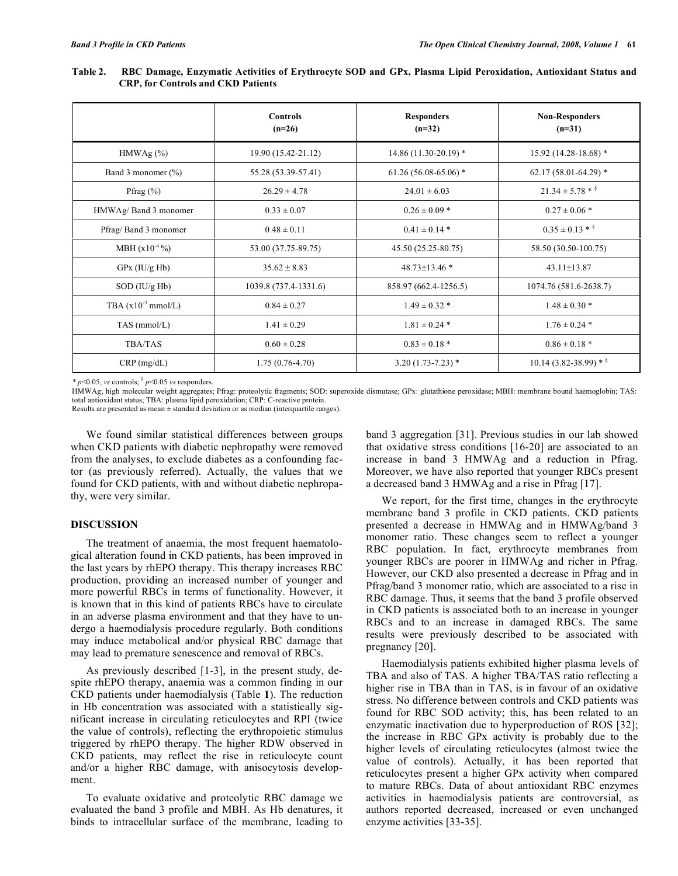|                         | <b>Controls</b><br>$(n=26)$ | <b>Responders</b><br>$(n=32)$ | <b>Non-Responders</b><br>$(n=31)$ |
|-------------------------|-----------------------------|-------------------------------|-----------------------------------|
| HMWAg (%)               | 19.90 (15.42-21.12)         | $14.86(11.30-20.19)$ *        | $15.92(14.28-18.68)$ *            |
| Band 3 monomer (%)      | 55.28 (53.39-57.41)         | $61.26(56.08-65.06)$ *        | $62.17(58.01-64.29)$ *            |
| Pfrag $(\%)$            | $26.29 \pm 4.78$            | $24.01 \pm 6.03$              | $21.34 \pm 5.78$ * §              |
| HMWAg/Band 3 monomer    | $0.33 \pm 0.07$             | $0.26 \pm 0.09$ *             | $0.27 \pm 0.06$ *                 |
| Pfrag/Band 3 monomer    | $0.48 \pm 0.11$             | $0.41 \pm 0.14$ *             | $0.35 \pm 0.13$ * §               |
| MBH $(x10^{-4}\%)$      | 53.00 (37.75-89.75)         | 45.50 (25.25-80.75)           | 58.50 (30.50-100.75)              |
| $GPx$ (IU/g Hb)         | $35.62 \pm 8.83$            | 48.73±13.46 *                 | 43.11±13.87                       |
| $SOD$ (IU/g Hb)         | 1039.8 (737.4-1331.6)       | 858.97 (662.4-1256.5)         | 1074.76 (581.6-2638.7)            |
| TBA $(x10^{-3}$ mmol/L) | $0.84 \pm 0.27$             | $1.49 \pm 0.32$ *             | $1.48 \pm 0.30$ *                 |
| TAS (mmol/L)            | $1.41 \pm 0.29$             | $1.81 \pm 0.24$ *             | $1.76 \pm 0.24$ *                 |
| <b>TBA/TAS</b>          | $0.60 \pm 0.28$             | $0.83 \pm 0.18$ *             | $0.86 \pm 0.18$ *                 |
| $CRP$ (mg/dL)           | $1.75(0.76-4.70)$           | $3.20(1.73 - 7.23)$ *         | $10.14(3.82 - 38.99) *$           |

**Table 2. RBC Damage, Enzymatic Activities of Erythrocyte SOD and GPx, Plasma Lipid Peroxidation, Antioxidant Status and CRP, for Controls and CKD Patients** 

*\* p*<0.05, *vs* controls; § *p*<0.05 *vs* responders.

HMWAg; high molecular weight aggregates; Pfrag: proteolytic fragments; SOD: superoxide dismutase; GPx: glutathione peroxidase; MBH: membrane bound haemoglobin; TAS: total antioxidant status; TBA: plasma lipid peroxidation; CRP: C-reactive protein.

Results are presented as mean ± standard deviation or as median (interquartile ranges).

 We found similar statistical differences between groups when CKD patients with diabetic nephropathy were removed from the analyses, to exclude diabetes as a confounding factor (as previously referred). Actually, the values that we found for CKD patients, with and without diabetic nephropathy, were very similar.

#### **DISCUSSION**

 The treatment of anaemia, the most frequent haematological alteration found in CKD patients, has been improved in the last years by rhEPO therapy. This therapy increases RBC production, providing an increased number of younger and more powerful RBCs in terms of functionality. However, it is known that in this kind of patients RBCs have to circulate in an adverse plasma environment and that they have to undergo a haemodialysis procedure regularly. Both conditions may induce metabolical and/or physical RBC damage that may lead to premature senescence and removal of RBCs.

 As previously described [1-3], in the present study, despite rhEPO therapy, anaemia was a common finding in our CKD patients under haemodialysis (Table **1**). The reduction in Hb concentration was associated with a statistically significant increase in circulating reticulocytes and RPI (twice the value of controls), reflecting the erythropoietic stimulus triggered by rhEPO therapy. The higher RDW observed in CKD patients, may reflect the rise in reticulocyte count and/or a higher RBC damage, with anisocytosis development.

 To evaluate oxidative and proteolytic RBC damage we evaluated the band 3 profile and MBH. As Hb denatures, it binds to intracellular surface of the membrane, leading to band 3 aggregation [31]. Previous studies in our lab showed that oxidative stress conditions [16-20] are associated to an increase in band 3 HMWAg and a reduction in Pfrag. Moreover, we have also reported that younger RBCs present a decreased band 3 HMWAg and a rise in Pfrag [17].

 We report, for the first time, changes in the erythrocyte membrane band 3 profile in CKD patients. CKD patients presented a decrease in HMWAg and in HMWAg/band 3 monomer ratio. These changes seem to reflect a younger RBC population. In fact, erythrocyte membranes from younger RBCs are poorer in HMWAg and richer in Pfrag. However, our CKD also presented a decrease in Pfrag and in Pfrag/band 3 monomer ratio, which are associated to a rise in RBC damage. Thus, it seems that the band 3 profile observed in CKD patients is associated both to an increase in younger RBCs and to an increase in damaged RBCs. The same results were previously described to be associated with pregnancy [20].

 Haemodialysis patients exhibited higher plasma levels of TBA and also of TAS. A higher TBA/TAS ratio reflecting a higher rise in TBA than in TAS, is in favour of an oxidative stress. No difference between controls and CKD patients was found for RBC SOD activity; this, has been related to an enzymatic inactivation due to hyperproduction of ROS [32]; the increase in RBC GPx activity is probably due to the higher levels of circulating reticulocytes (almost twice the value of controls). Actually, it has been reported that reticulocytes present a higher GPx activity when compared to mature RBCs. Data of about antioxidant RBC enzymes activities in haemodialysis patients are controversial, as authors reported decreased, increased or even unchanged enzyme activities [33-35].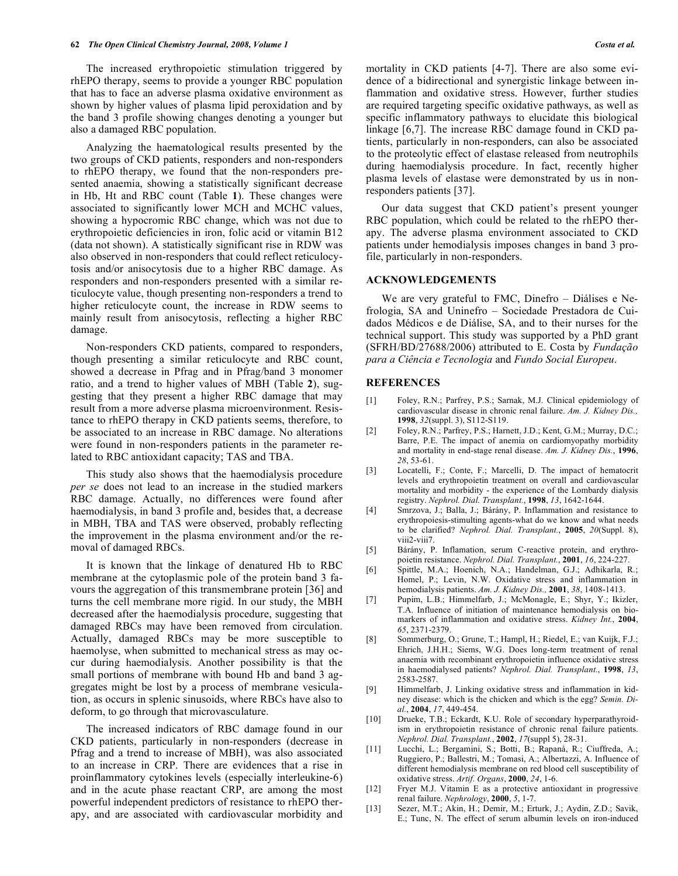The increased erythropoietic stimulation triggered by rhEPO therapy, seems to provide a younger RBC population that has to face an adverse plasma oxidative environment as shown by higher values of plasma lipid peroxidation and by the band 3 profile showing changes denoting a younger but also a damaged RBC population.

 Analyzing the haematological results presented by the two groups of CKD patients, responders and non-responders to rhEPO therapy, we found that the non-responders presented anaemia, showing a statistically significant decrease in Hb, Ht and RBC count (Table **1**). These changes were associated to significantly lower MCH and MCHC values, showing a hypocromic RBC change, which was not due to erythropoietic deficiencies in iron, folic acid or vitamin B12 (data not shown). A statistically significant rise in RDW was also observed in non-responders that could reflect reticulocytosis and/or anisocytosis due to a higher RBC damage. As responders and non-responders presented with a similar reticulocyte value, though presenting non-responders a trend to higher reticulocyte count, the increase in RDW seems to mainly result from anisocytosis, reflecting a higher RBC damage.

 Non-responders CKD patients, compared to responders, though presenting a similar reticulocyte and RBC count, showed a decrease in Pfrag and in Pfrag/band 3 monomer ratio, and a trend to higher values of MBH (Table **2**), suggesting that they present a higher RBC damage that may result from a more adverse plasma microenvironment. Resistance to rhEPO therapy in CKD patients seems, therefore, to be associated to an increase in RBC damage. No alterations were found in non-responders patients in the parameter related to RBC antioxidant capacity; TAS and TBA.

 This study also shows that the haemodialysis procedure *per se* does not lead to an increase in the studied markers RBC damage. Actually, no differences were found after haemodialysis, in band 3 profile and, besides that, a decrease in MBH, TBA and TAS were observed, probably reflecting the improvement in the plasma environment and/or the removal of damaged RBCs.

 It is known that the linkage of denatured Hb to RBC membrane at the cytoplasmic pole of the protein band 3 favours the aggregation of this transmembrane protein [36] and turns the cell membrane more rigid. In our study, the MBH decreased after the haemodialysis procedure, suggesting that damaged RBCs may have been removed from circulation. Actually, damaged RBCs may be more susceptible to haemolyse, when submitted to mechanical stress as may occur during haemodialysis. Another possibility is that the small portions of membrane with bound Hb and band 3 aggregates might be lost by a process of membrane vesiculation, as occurs in splenic sinusoids, where RBCs have also to deform, to go through that microvasculature.

 The increased indicators of RBC damage found in our CKD patients, particularly in non-responders (decrease in Pfrag and a trend to increase of MBH), was also associated to an increase in CRP. There are evidences that a rise in proinflammatory cytokines levels (especially interleukine-6) and in the acute phase reactant CRP, are among the most powerful independent predictors of resistance to rhEPO therapy, and are associated with cardiovascular morbidity and mortality in CKD patients [4-7]. There are also some evidence of a bidirectional and synergistic linkage between inflammation and oxidative stress. However, further studies are required targeting specific oxidative pathways, as well as specific inflammatory pathways to elucidate this biological linkage [6,7]. The increase RBC damage found in CKD patients, particularly in non-responders, can also be associated to the proteolytic effect of elastase released from neutrophils during haemodialysis procedure. In fact, recently higher plasma levels of elastase were demonstrated by us in nonresponders patients [37].

 Our data suggest that CKD patient's present younger RBC population, which could be related to the rhEPO therapy. The adverse plasma environment associated to CKD patients under hemodialysis imposes changes in band 3 profile, particularly in non-responders.

# **ACKNOWLEDGEMENTS**

 We are very grateful to FMC, Dinefro – Diálises e Nefrologia, SA and Uninefro – Sociedade Prestadora de Cuidados Médicos e de Diálise, SA, and to their nurses for the technical support. This study was supported by a PhD grant (SFRH/BD/27688/2006) attributed to E. Costa by *Fundação para a Ciência e Tecnologia* and *Fundo Social Europeu*.

# **REFERENCES**

- [1] Foley, R.N.; Parfrey, P.S.; Sarnak, M.J. Clinical epidemiology of cardiovascular disease in chronic renal failure. *Am. J. Kidney Dis.,*  **1998**, *32*(suppl. 3), S112-S119.
- [2] Foley, R.N.; Parfrey, P.S.; Harnett, J.D.; Kent, G.M.; Murray, D.C.; Barre, P.E. The impact of anemia on cardiomyopathy morbidity and mortality in end-stage renal disease. *Am. J. Kidney Dis.*, **1996**, *28*, 53-61.
- [3] Locatelli, F.; Conte, F.; Marcelli, D. The impact of hematocrit levels and erythropoietin treatment on overall and cardiovascular mortality and morbidity - the experience of the Lombardy dialysis registry. *Nephrol. Dial. Transplant.*, **1998**, *13*, 1642-1644.
- [4] Smrzova, J.; Balla, J.; Bárány, P. Inflammation and resistance to erythropoiesis-stimulting agents-what do we know and what needs to be clarified? *Nephrol. Dial. Transplant.*, **2005**, *20*(Suppl. 8), viii2-viii7.
- [5] Bárány, P. Inflamation, serum C-reactive protein, and erythropoietin resistance. *Nephrol. Dial. Transplant.*, **2001**, *16*, 224-227.
- [6] Spittle, M.A.; Hoenich, N.A.; Handelman, G.J.; Adhikarla, R.; Homel, P.; Levin, N.W. Oxidative stress and inflammation in hemodialysis patients. *Am. J. Kidney Dis.,* **2001**, *38*, 1408-1413.
- [7] Pupim, L.B.; Himmelfarb, J.; McMonagle, E.; Shyr, Y.; Ikizler, T.A. Influence of initiation of maintenance hemodialysis on biomarkers of inflammation and oxidative stress. *Kidney Int.*, **2004**, *65*, 2371-2379.
- [8] Sommerburg, O.; Grune, T.; Hampl, H.; Riedel, E.; van Kuijk, F.J.; Ehrich, J.H.H.; Siems, W.G. Does long-term treatment of renal anaemia with recombinant erythropoietin influence oxidative stress in haemodialysed patients? *Nephrol. Dial. Transplant.*, **1998**, *13*, 2583-2587.
- [9] Himmelfarb, J. Linking oxidative stress and inflammation in kidney disease: which is the chicken and which is the egg? *Semin. Dial.*, **2004**, *17*, 449-454.
- [10] Drueke, T.B.; Eckardt, K.U. Role of secondary hyperparathyroidism in erythropoietin resistance of chronic renal failure patients. *Nephrol. Dial. Transplant.*, **2002**, *17*(suppl 5), 28-31.
- [11] Lucchi, L.; Bergamini, S.; Botti, B.; Rapanà, R.; Ciuffreda, A.; Ruggiero, P.; Ballestri, M.; Tomasi, A.; Albertazzi, A. Influence of different hemodialysis membrane on red blood cell susceptibility of oxidative stress. *Artif. Organs*, **2000**, *24*, 1-6.
- [12] Fryer M.J. Vitamin E as a protective antioxidant in progressive renal failure. *Nephrology*, **2000**, *5*, 1-7.
- [13] Sezer, M.T.; Akin, H.; Demir, M.; Erturk, J.; Aydin, Z.D.; Savik, E.; Tunc, N. The effect of serum albumin levels on iron-induced